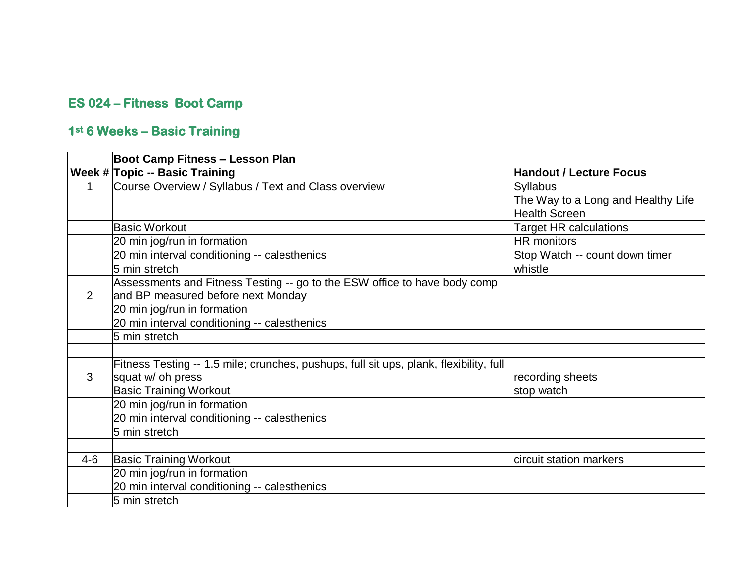## **ES 024 – Fitness Boot Camp**

## **1st 6 Weeks – Basic Training**

|         | <b>Boot Camp Fitness - Lesson Plan</b>                                                 |                                    |
|---------|----------------------------------------------------------------------------------------|------------------------------------|
|         | <b>Week # Topic -- Basic Training</b>                                                  | <b>Handout / Lecture Focus</b>     |
|         | Course Overview / Syllabus / Text and Class overview                                   | <b>Syllabus</b>                    |
|         |                                                                                        | The Way to a Long and Healthy Life |
|         |                                                                                        | <b>Health Screen</b>               |
|         | <b>Basic Workout</b>                                                                   | <b>Target HR calculations</b>      |
|         | 20 min jog/run in formation                                                            | <b>HR</b> monitors                 |
|         | 20 min interval conditioning -- calesthenics                                           | Stop Watch -- count down timer     |
|         | 5 min stretch                                                                          | whistle                            |
|         | Assessments and Fitness Testing -- go to the ESW office to have body comp              |                                    |
| 2       | and BP measured before next Monday                                                     |                                    |
|         | 20 min jog/run in formation                                                            |                                    |
|         | 20 min interval conditioning -- calesthenics                                           |                                    |
|         | 5 min stretch                                                                          |                                    |
|         |                                                                                        |                                    |
|         | Fitness Testing -- 1.5 mile; crunches, pushups, full sit ups, plank, flexibility, full |                                    |
| 3       | squat w/ oh press                                                                      | recording sheets                   |
|         | <b>Basic Training Workout</b>                                                          | stop watch                         |
|         | 20 min jog/run in formation                                                            |                                    |
|         | 20 min interval conditioning -- calesthenics                                           |                                    |
|         | 5 min stretch                                                                          |                                    |
|         |                                                                                        |                                    |
| $4 - 6$ | <b>Basic Training Workout</b>                                                          | circuit station markers            |
|         | 20 min jog/run in formation                                                            |                                    |
|         | 20 min interval conditioning -- calesthenics                                           |                                    |
|         | 5 min stretch                                                                          |                                    |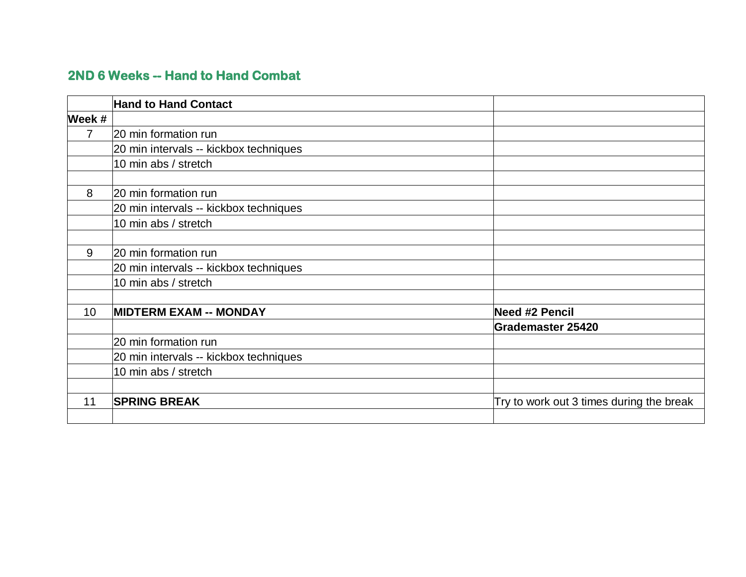## **2ND 6 Weeks -- Hand to Hand Combat**

|                 | <b>Hand to Hand Contact</b>            |                                          |
|-----------------|----------------------------------------|------------------------------------------|
| Week #          |                                        |                                          |
| $\overline{7}$  | 20 min formation run                   |                                          |
|                 | 20 min intervals -- kickbox techniques |                                          |
|                 | 10 min abs / stretch                   |                                          |
|                 |                                        |                                          |
| 8               | 20 min formation run                   |                                          |
|                 | 20 min intervals -- kickbox techniques |                                          |
|                 | 10 min abs / stretch                   |                                          |
|                 |                                        |                                          |
| 9               | 20 min formation run                   |                                          |
|                 | 20 min intervals -- kickbox techniques |                                          |
|                 | 10 min abs / stretch                   |                                          |
|                 |                                        |                                          |
| 10 <sup>°</sup> | <b>MIDTERM EXAM -- MONDAY</b>          | <b>Need #2 Pencil</b>                    |
|                 |                                        | <b>Grademaster 25420</b>                 |
|                 | 20 min formation run                   |                                          |
|                 | 20 min intervals -- kickbox techniques |                                          |
|                 | 10 min abs / stretch                   |                                          |
|                 |                                        |                                          |
| 11              | <b>SPRING BREAK</b>                    | Try to work out 3 times during the break |
|                 |                                        |                                          |